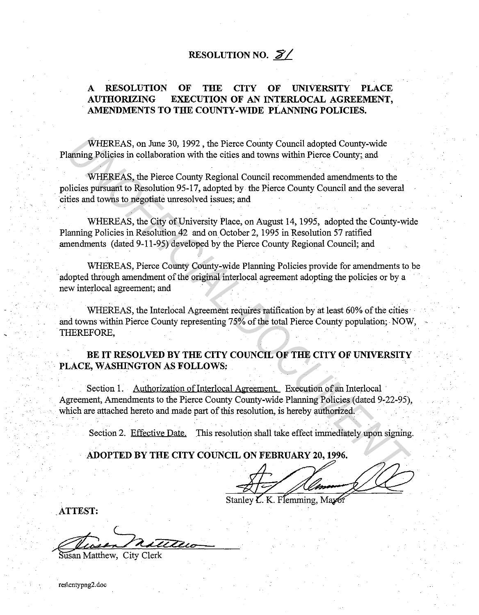# **RESOLUTION NO.**  $\mathcal{Z}'$

## **A RESOLUTION OF THE CITY OF UNIVERSITY PLACE AUTHORIZING EXECUTION OF AN INTERLOCAL AGREEMENT, AMENDMENTS TO THE COUNTY-WIDE PLANNING POLICIES.**

WHEREAS, on June 30, 1992, the Pierce County Council adopted County-wide Planning Policies in collaboration with the cities and towns within Pierce County; and

WHEREAS, the Pierce County Regional Council recommended amendments to the policies pursuant to Resolution 95-17, adopted by the Pierce County Council and the several cities and towns to negotiate unresolved issues; and

WHEREAS, the City of University Place, on August 14, 1995, adopted the County-wide Planning Policies in Resolution 42 and on October 2, 1995 in Resolution 57 ratified amendments (dated 9-11-95) developed by the Pierce County Regional Council; and

WHEREAS, Pierce County County-wide Planning Policies provide for amendments to be adopted through amendment of the original interlocal agreement adopting the policies or by a new interlocal agreement; and

WHEREAS, the lnterlocal Agreement requires ratification by at least 60% of the cities and towns within Pierce County representing 75% of the total Pierce County population; NOW, -THEREFORE, WHEREAS, on June 30, 1992, the Pierce County Council adopted County-wide<br>aming Policies in collaboration with the cities and towns within Pierce County; and<br>WHEREAS, the Pierce County Regional Council recommended amendment

## **BE IT RESOLVED BY THE CITY COUNCIL OF THE CITY OF UNIVERSITY PLACE, WASHINGTON AS FOLLOWS:**

Section 1. Authorization of Interlocal Agreement. Execution of an Interlocal Agreement, Amendments to the Pierce County County-wide Planning Policies (dated 9-22-95), which are attached hereto and made part of this resolution, is hereby authorized.

Section 2. Effective Date. This resolution shall take effect immediately upon signing.

**ADOPTED BY THE CITY COUNCIL ON FEBRUARY 20, 1996.** 

Stanley L. K. Flemming, Maxo

**ATTEST:** 

 $\overline{\text{usan}}$  Matthew, City Clerk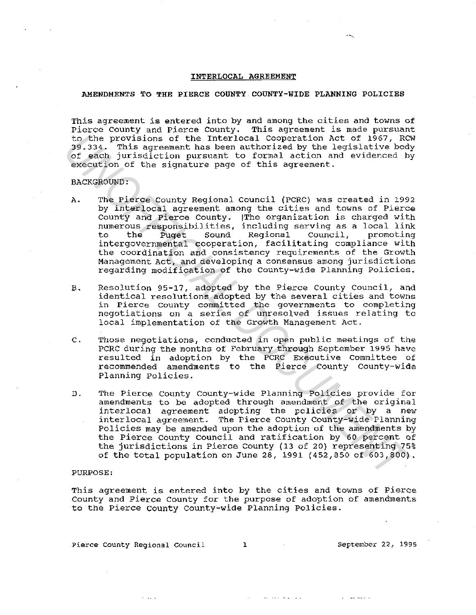## INTERLOCAL AGREEMENT

### AMENDMENTS TO THE PIERCE COUNTY COUNTY-WIDE PLANNING POLICIES

This agreement is entered into by and among the cities and towns of Pierce county and Pierce County. This agreement *is* made pursuant to the provisions of the Interlocal Cooperation Act of 1967, RCW 39.334. This agreement has been authorized by the legislative body of each jurisdiction pursuant to formal action and evidenced by execution of the signature page of this agreement.

#### BACKGROUND:

- A. The Pierce County Regional Council (PCRC) was created in 1992 by interlocal agreement among the cities and towns of Pierce County and Pierce County. !The organization is charged with numerous responsibilities, including serving as a local link to the Puget Sound Regional Council, promoting to the Puget Sound Regional Council, promoting<br>intergovernmental cooperation, facilitating compliance with the coordination and consistency requirements of the Growth Management Act, and developing a consensus among jurisdictions regarding modification of the County-wide Planning Policies. is the provisions of the Interlocal Cooperation Act of 1967, RC<br>195.334. This agreement has been authorized by the legislative bod<br>of each jurisdiction pursuant to formal action and evidenced by<br>exception of the signature
	- *B.* Resolution 95-17, adopted by the Pierce County Council, and identical resolutions adopted by the several cities and towns in Pierce county committed the governments to completing negotiations on a series of unresolved issues relating to local implementation of the Growth Management Act.
	- c. Those negotiations, conducted in open public meetings of the PCRC during the months of February through September 1995 have resulted in adoption by the PCRC Executive Committee of recommended amendments to the Pierce county County-wide Planning Policies.
	- D. The Pierce county County-wide Planning Policies provide for amendments to be adopted through amendment of the original interlocal agreement adopting the policies or by a new interlocal agreement. The Pierce County County-wide Planning Policies may be amended upon the adoption of the amendments by the Pierce county council and ratification by 60 percent of the jurisdictions in Pierce County (13 of 20) representing 75% of the total population on June 28, 1991 (452,850 of 603,800).

### PURPOSE:

This agreement is entered into by the cities and towns of Pierce County and Pierce County for the purpose of adoption of amendments to the Pierce county County-wide Planning Policies.

Pierce County Regional Council **l** 3 and September 22, 1995

**All College** 

the companion of the companion of the companion

 $\mathbf{r} = \mathbf{r}$  and  $\mathbf{r} = \mathbf{r}$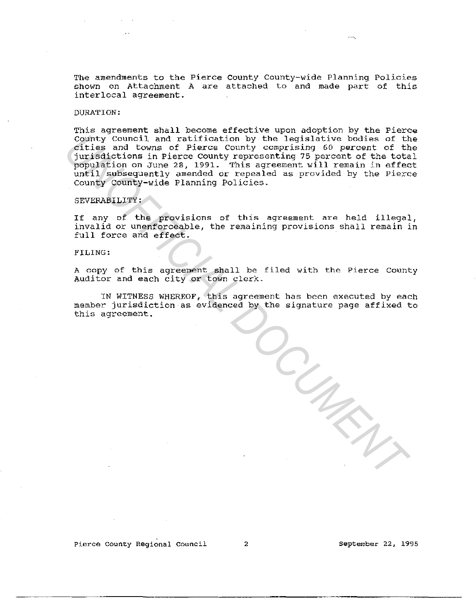The amendments to the Pierce county County-wide Planning Policies shown on Attachment A are attached to and made part of this interlocal agreement.

## DURATION:

This agreement shall become effective upon adoption by the Pierce County Council and ratification by the legislative bodies of the cities and towns of Pierce county comprising 60 percent of the jurisdictions in Pierce County representing 75 percent of the total population on June 28, 1991. This agreement will remain in effect until subsequently amended or repealed as provided by the Pierce County County-wide Planning Policies. County Council and raitingtin by the legislative biddes of this and towns of Pierce County comprising 60 percent of the proposedions in Pierce County representing 75 percent of the total proposedions in Pierce County repre

#### SEVERABILITY:

If any of the provisions of this agreement are held illegal, invalid or unenforceable, the remaining provisions shall remain in full force and effect.

#### FILING:

<sup>A</sup>copy of this agreement shall be filed with the Pierce County Auditor and each city or town clerk.

IN WITNESS WHEREOF, this agreement has been executed by each member jurisdiction as evidenced by the signature page affixed to this agreement.

**Pierce county Regional Council** 2 **September** 22, **1995**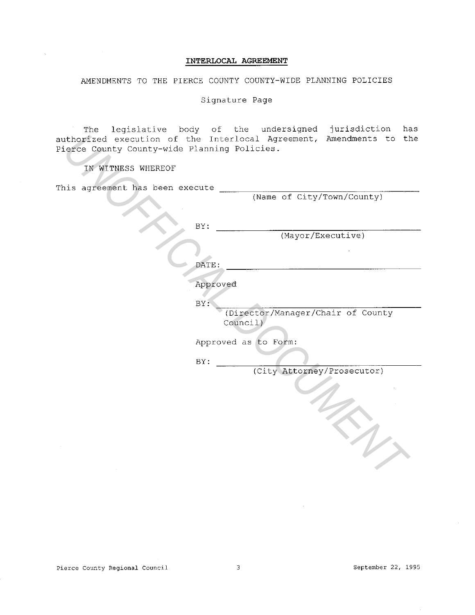## INTERLOCAL AGREEMENT

AMENDMENTS TO THE PIERCE COUNTY COUNTY-WIDE PLANNING POLICIES

Signature Page

The legislative body of the undersigned jurisdiction has authorized execution of the Interlocal Agreement, Amendments to the Pierce County County-wide Planning Policies.

| Pierce County County-wide Planning Policies. | authorized execution of the Interlocal Agreement, Amendments to the |
|----------------------------------------------|---------------------------------------------------------------------|
| IN WITNESS WHEREOF                           |                                                                     |
| This agreement has been execute              | (Name of City/Town/County)                                          |
|                                              | BY:<br>(Mayor/Executive)                                            |
|                                              | DATE:                                                               |
|                                              | Approved<br>BY:                                                     |
|                                              | (Director/Manager/Chair of County<br>Council)                       |
|                                              | Approved as to Form:<br>BY:                                         |
|                                              | (City Attorney/Prosecutor)                                          |
|                                              |                                                                     |
|                                              |                                                                     |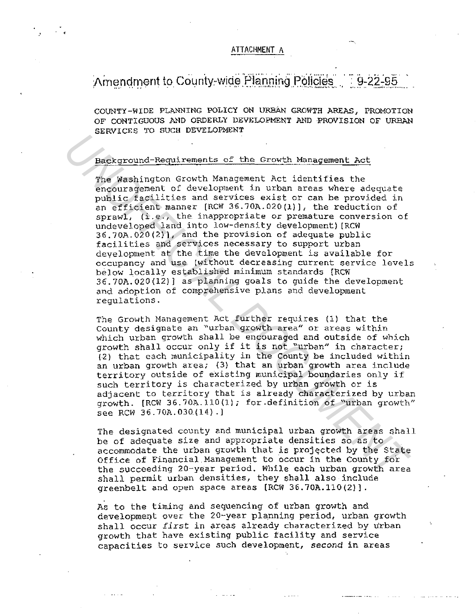## ATTACHMENT A

#### Amendment to County-wide Planning Policies  $9 - 22 - 95$

COUNTY-WIDE PLANNING POLICY ON URBAN GROWTH AREAS, PROMOTION OF CONTIGUOUS AND ORDERLY DEVELOPMENT AND PROVISION OF URBAN SERVICES TO SUCH DEVELOPMENT

## Background-Requirements of the Growth Management Act

<

The Washington Growth Management Act identifies the encouragement of development in urban areas where adequate public facilities and services exist or can be provided in an efficient manner [RCW 36.70A.020(1)], the reduction of sprawl, (i.e., the inappropriate or premature conversion of undeveloped land into low-density development) [RCW 36.70A.020(2)], and the provision of adequate public facilities and services necessary to support urban deyelopment at the time the development is available for occupancy and use (without decreasing current service levels below locally established minimum standards [RCW 36.70A.020(12}] as planning goals to guide the development and adoption of comprehensive plans and development regulations. Received-Requirements of the Growth Management Act<br>
The Washington Growth Management Act identifies the<br>
encouragement of development in urban areas where adequate<br>
public facilities and services wisit or can be provided i

The Growth Management Act further requires (1) that the County designate an "urban growth area" or areas within which urban growth shall be encouraged and outside of which growth shall occur only if it is not "urban" in character; (2) that each municipality in the County be included within an urban growth area; (3) that an urban growth area include territory outside of existing municipal boundaries only if such territory is characterized by urban growth or is adjacent to territory that is already characterized by urban growth. [RCW 36. 70A. 110 (l); for .definition of "urban growth" see RCW 36.70A.030. $(14)$ .]

The designated county and municipal urban growth areas shall be of adequate size and appropriate densities so as to accommodate the urban growth that is projected by the State Office of Financial Management to occur in the County for the succeeding 20-year period. While each urban growth area shall permit urban densities, they shall also include greenbelt and open space areas [RCW 36.70A.110(2)].

As to the timing and sequencing of urban growth and development over the 20-year planning period, urban growth shall occur *first* in areas already characterized by urban growth that have existing public facility and service capacities to service such development, *second* in areas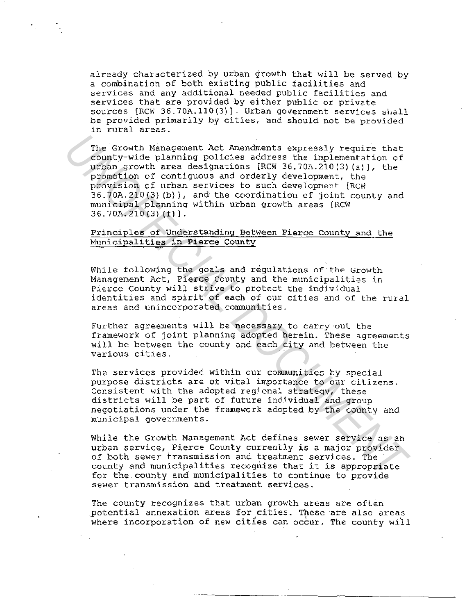already characterized by urban growth that will be served by a combination of both existing public facilities and services and any additional needed public facilities and services that are provided by either public or private sources [RCW 36.70A.110(3)]. Urban government services shall be provided primarily by cities, and should not be provided in rural areas.

The Growth Management Act Amendments expressly require that county-wide planning policies address the implementation of urban growth area designations [RCW 36. 70A.210 (3) (al], the promotion of contiguous and orderly development, the provision of urban services to such development [RCW 36.70A.210(3) (b)}, and the coordination of joint county and municipal planning within urban growth areas [RCW 36. 70A. 210 (3) (f)]. The Growth Minagement Policies address the implements exploited planing policies and experimentation of promotion of continguous and orderly development, the promotion of continguous and orderly development, the provision

## Principles of Understanding Between Pierce County and the Municipalities in Pierce County

While following the goals and regulations of the Growth Management Act, Pierce County and the municipalities in Pierce County will strive to protect the individual identities and spirit of each of our cities and of the rural areas and unincorporated communities.

Further agreements will be necessary to carry out the framework of joint planning adopted herein. These agreements will be between the county and each city and between the various cities.

The services provided within our communities by special purpose districts are of vital importance to our citizens. Consistent with the adopted regional strategy, these districts will be part of future individual and group negotiations under the framework adopted by the county and municipal governments.

While the Growth Management Act defines sewer service as an urban service, Pierce County currently is a major provider of both sewer transmission and treatment services. The county and municipalities recognize that it is appropriate for the.county and municipalities to continue to provide sewer transmission and treatment services.

The county recognizes that urban growth areas are often potential annexation areas for cities. These ·are also areas where incorporation of new cities can occur. The county will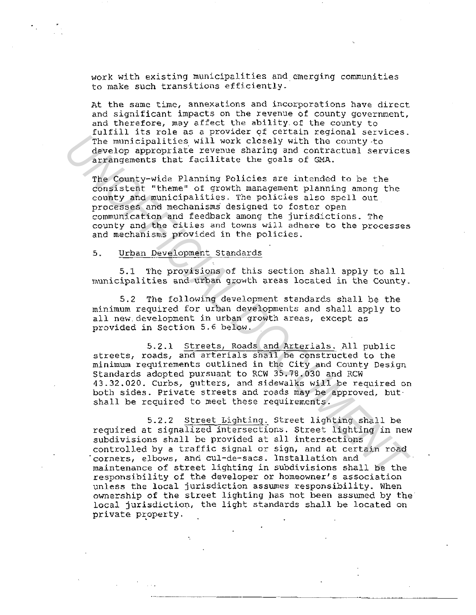work with existing municipalities and emerging communities to make such transitions efficiently.

At the same time, annexations and incorporations have direct and significant impacts on the revenue of county government, and therefore, may affect the ability.of the county to fulfill its role as a provider qf certain regional services. The municipalities will work closely with the county -to develop appropriate revenue sharing and contractual services arrangements that facilitate the goals of GMA.

The County-wide Planning Policies are intended to be the consistent "theme" of growth management planning among the county and municipalities. The policies also spell out processes and mechanisms· designed to foster open communication and feedback among the jurisdictions. The county and the cities and towns will adhere to the processes and mechanisms provided in the policies. The municipalities will work closely with the county-to<br>develop appropriates will work closely with the county-to<br>develop appropriate zevenue sharing end contractual services<br>orrangements that facilitate the goals of GRA.<br>

## 5. Urban Development Standards

5.1 The provisions of this section shall apply to all municipalities and urban growth areas located in the county.

5.2 The following development standards shall be the minimum required for urban developments and shall apply to all new development in urban growth areas, except as provided in Section 5.6 below.

5.2.1 Streets, Roads and Arterials. All public streets, roads, and arterials shall be constructed to the minimum requirements outlined in the City and county Design Standards adopted pursuant to RCW 35.78.030 and RCW 43.32.020. Curbs, gutters, and sidewalks will be required on both sides. Private streets and roads may be approved, butshall be required to meet these requirements.

5.2.2 street Lighting. Street lighting shall be required at signalized intersections. Street lighting in new subdivisions shall be provided at all intersections controlled by a traffic signal or sign, and at certain road corners, elbows, and cul-de-sacs. Installation and maintenance of street lighting in subdivisions shall be the responsibility of the developer or homeowner's association unless the local jurisdiction assumes responsibility. When ownership of the street lighting has not been assumed by the local jurisdiction, the light standards shall be located on private property.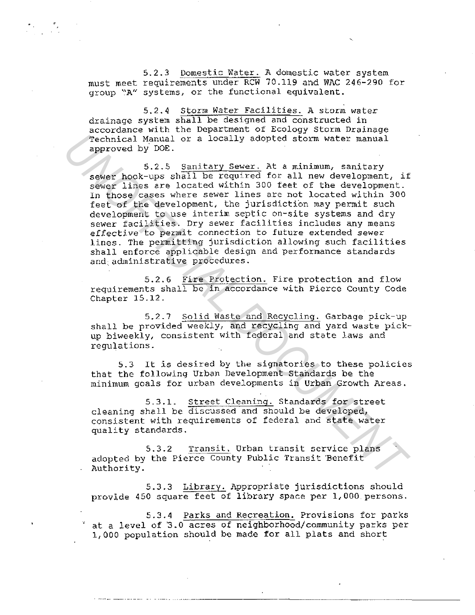5.2.3 Domestic Water. A domestic water system must meet requirements under RCW 70.119 and WAC 246-290 for group "A" systems, or the functional equivalent.

*5.2.4* Storm Water Facilities. A storm water drainage system shall be designed and constructed in accordance with the Department of Ecology Storm Drainage Technical Manual or a locally adopted storm water manual approved by° DOE.

5.2.5 Sanitary Sewer. At a minimum, sanitary sewer hook-ups shall be required for all new development, if sewer lines are located within 300 feet of the development. In those cases where sewer lines are not located within 300 feet of the development, the jurisdiction may permit such development to use interim septic on-site systems and dry sewer facilities. Dry sewer facilities includes any means effective to permit connection to future extended sewer lines. The permitting jurisdiction allowing such facilities shall enforce applicable design and performance standards and administrative procedures. *Technical Manual or a locally adopted storm water manual*<br>approved by DOR.<br>5.2.5 Sanitary Sever. At a minimum, sanitary<br>sever hook-ups shill be required for all new development,<br>19 sever hook-ups shall be required for all

5.2.6 Fire Protection. Fire protection and flow requirements shall be in accordance with Pierce County Code Chapter 15.12.

5.2.7 Solid Waste and Recycling. Garbage pick-up shall be provided weekly, and recycling and yard waste pickup biweekly, consistent with federal and state laws and regulations.

5.3 It is desired by the signatories to these policies that the following Urban Development Standards be the minimum goals for urban developments in Urban Growth Areas.

5.3.1. Street Cleaning. Standards for street cleaning shall be discussed and should be developed, consistent with requirements of federal and state water quality standards.

5.3.2 Transit. Urban transit service plans adopted by the Pierce County Public Transit Benefit Authority.

5.3.3 Library. Appropriate jurisdictions should provide 450 square feet of library space per 1,000 persons.

5.3.4 Parks and Recreation. Provisions for parks at a level of 3.0 acres of neighborhood/community parks per 1,000 population should be made for all plats and short